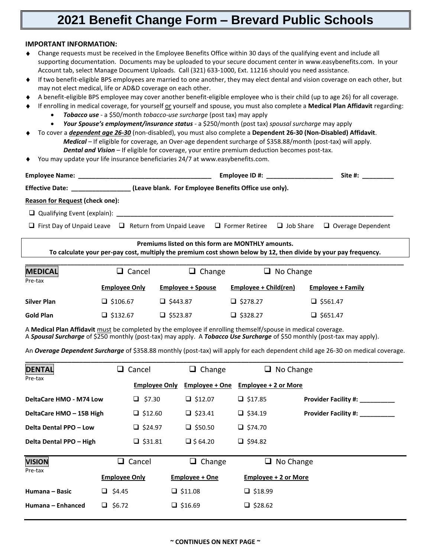## **2021 Benefit Change Form – Brevard Public Schools**

## **IMPORTANT INFORMATION:**

- Change requests must be received in the Employee Benefits Office within 30 days of the qualifying event and include all supporting documentation. Documents may be uploaded to your secure document center in www.easybenefits.com. In your Account tab, select Manage Document Uploads. Call (321) 633-1000, Ext. 11216 should you need assistance.
- If two benefit-eligible BPS employees are married to one another, they may elect dental and vision coverage on each other, but may not elect medical, life or AD&D coverage on each other.
- A benefit-eligible BPS employee may cover another benefit-eligible employee who is their child (up to age 26) for all coverage.
- If enrolling in medical coverage, for yourself or yourself and spouse, you must also complete a **Medical Plan Affidavit** regarding:
	- *Tobacco use* a \$50/month *tobacco-use surcharge* (post tax) may apply
	- *Your Spouse's employment/insurance status* a \$250/month (post tax) *spousal surcharge* may apply
- To cover a *dependent age 26-30* (non-disabled), you must also complete a **Dependent 26-30 (Non-Disabled) Affidavit**. *Medical –* If eligible for coverage*,* an Over-age dependent surcharge of \$358.88/month (post-tax) will apply. *Dental and Vision* – If eligible for coverage, your entire premium deduction becomes post-tax.
	- You may update your life insurance beneficiaries 24/7 at www.easybenefits.com.

| <b>Employee Name:</b> The contract of the contract of the contract of the contract of the contract of the contract of the contract of the contract of the contract of the contract of the contract of the contract of the contract |                                                                                                                                                                      | Employee ID #: |                  |                          |  |
|------------------------------------------------------------------------------------------------------------------------------------------------------------------------------------------------------------------------------------|----------------------------------------------------------------------------------------------------------------------------------------------------------------------|----------------|------------------|--------------------------|--|
| Effective Date: ___________________(Leave blank. For Employee Benefits Office use only).                                                                                                                                           |                                                                                                                                                                      |                |                  |                          |  |
| <b>Reason for Request (check one):</b>                                                                                                                                                                                             |                                                                                                                                                                      |                |                  |                          |  |
|                                                                                                                                                                                                                                    |                                                                                                                                                                      |                |                  |                          |  |
| $\Box$ First Day of Unpaid Leave $\Box$ Return from Unpaid Leave $\Box$ Former Retiree $\Box$ Job Share                                                                                                                            |                                                                                                                                                                      |                |                  | $\Box$ Overage Dependent |  |
|                                                                                                                                                                                                                                    | Premiums listed on this form are MONTHLY amounts.<br>To calculate your per-pay cost, multiply the premium cost shown below by 12, then divide by your pay frequency. |                |                  |                          |  |
| <b>MEDICAL</b><br>Dea <b>tay</b>                                                                                                                                                                                                   | Cancel<br>$\Box$ Change                                                                                                                                              |                | $\Box$ No Change |                          |  |

| <b>IVIEDICAL</b> | <b>□</b> cancer      | $\Box$ change            | $\Box$ No Change      |                          |
|------------------|----------------------|--------------------------|-----------------------|--------------------------|
| Pre-tax          | <b>Employee Only</b> | <b>Employee + Spouse</b> | Employee + Child(ren) | <b>Employee + Family</b> |
| Silver Plan      | $\Box$ \$106.67      | $\Box$ \$443.87          | $\Box$ \$278.27       | $\Box$ \$561.47          |
| <b>Gold Plan</b> | $\Box$ \$132.67      | $\Box$ \$523.87          | $\Box$ \$328.27       | $\Box$ \$651.47          |

A **Medical Plan Affidavit** must be completed by the employee if enrolling themself/spouse in medical coverage. A *Spousal Surcharge* of \$250 monthly (post-tax) may apply. A *Tobacco Use Surcharge* of \$50 monthly (post-tax may apply).

An *Overage Dependent Surcharge* of \$358.88 monthly (post-tax) will apply for each dependent child age 26-30 on medical coverage.

| <b>DENTAL</b>                  | Cancel<br>⊔.                          | Change<br>u.                  | $\Box$ No Change                                |                             |
|--------------------------------|---------------------------------------|-------------------------------|-------------------------------------------------|-----------------------------|
| Pre-tax                        | <b>Employee Only</b>                  | <b>Employee + One</b>         | Employee + 2 or More                            |                             |
| <b>DeltaCare HMO - M74 Low</b> | $\Box$ \$7.30                         | $\Box$ \$12.07                | $\Box$ \$17.85                                  | <b>Provider Facility #:</b> |
| DeltaCare HMO - 15B High       | $\Box$ \$12.60                        | $\Box$ \$23.41                | $\Box$ \$34.19                                  | <b>Provider Facility #:</b> |
| Delta Dental PPO - Low         | $\Box$ \$24.97                        | $\Box$ \$50.50                | $\Box$ \$74.70                                  |                             |
| Delta Dental PPO - High        | $\Box$ \$31.81                        | $\Box$ \$ 64.20               | □ \$94.82                                       |                             |
| <b>VISION</b><br>Pre-tax       | $\Box$ Cancel<br><b>Employee Only</b> | Change<br>u<br>Employee + One | $\Box$ No Change<br><b>Employee + 2 or More</b> |                             |
|                                |                                       |                               |                                                 |                             |
| Humana – Basic                 | $\Box$ \$4.45                         | $\Box$ \$11.08                | $\Box$ \$18.99                                  |                             |
| Humana - Enhanced              | $\Box$ \$6.72                         | $\Box$ \$16.69                | $\Box$ \$28.62                                  |                             |